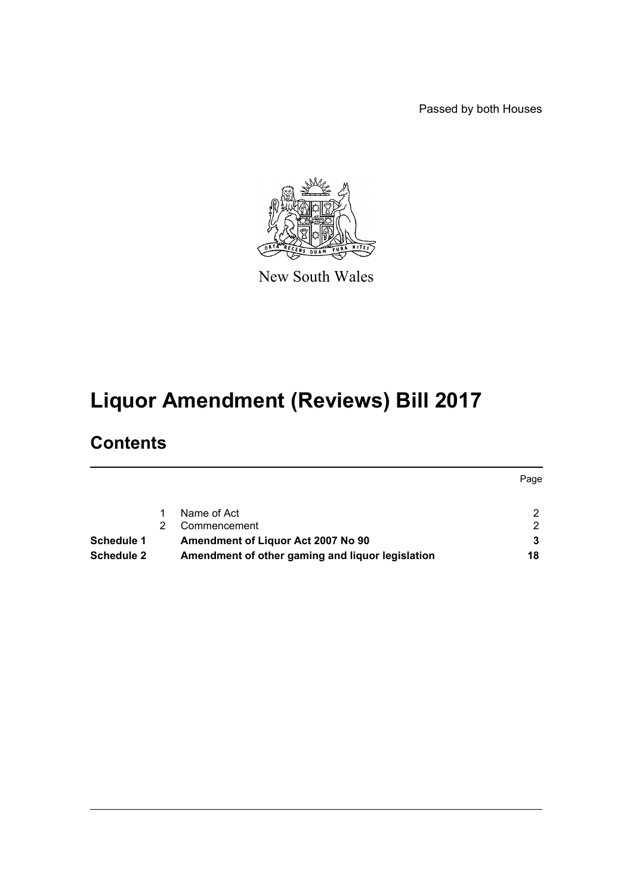Passed by both Houses



New South Wales

# **Liquor Amendment (Reviews) Bill 2017**

# **Contents**

|                   |                                                  | Page |
|-------------------|--------------------------------------------------|------|
|                   | Name of Act                                      |      |
|                   | Commencement                                     | 2    |
| Schedule 1        | Amendment of Liquor Act 2007 No 90               |      |
| <b>Schedule 2</b> | Amendment of other gaming and liquor legislation | 18   |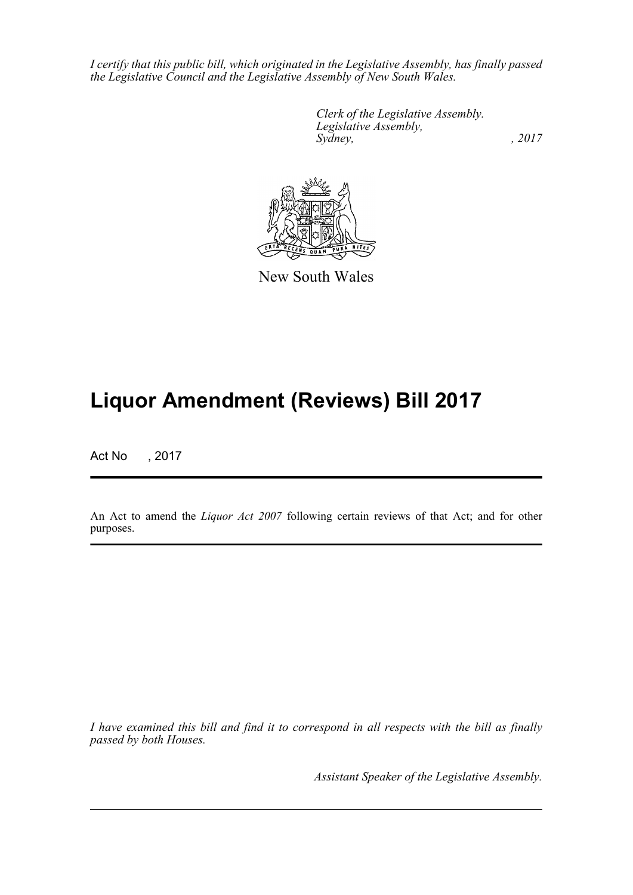*I certify that this public bill, which originated in the Legislative Assembly, has finally passed the Legislative Council and the Legislative Assembly of New South Wales.*

> *Clerk of the Legislative Assembly. Legislative Assembly, Sydney,* , 2017



New South Wales

# **Liquor Amendment (Reviews) Bill 2017**

Act No , 2017

An Act to amend the *Liquor Act 2007* following certain reviews of that Act; and for other purposes.

*I have examined this bill and find it to correspond in all respects with the bill as finally passed by both Houses.*

*Assistant Speaker of the Legislative Assembly.*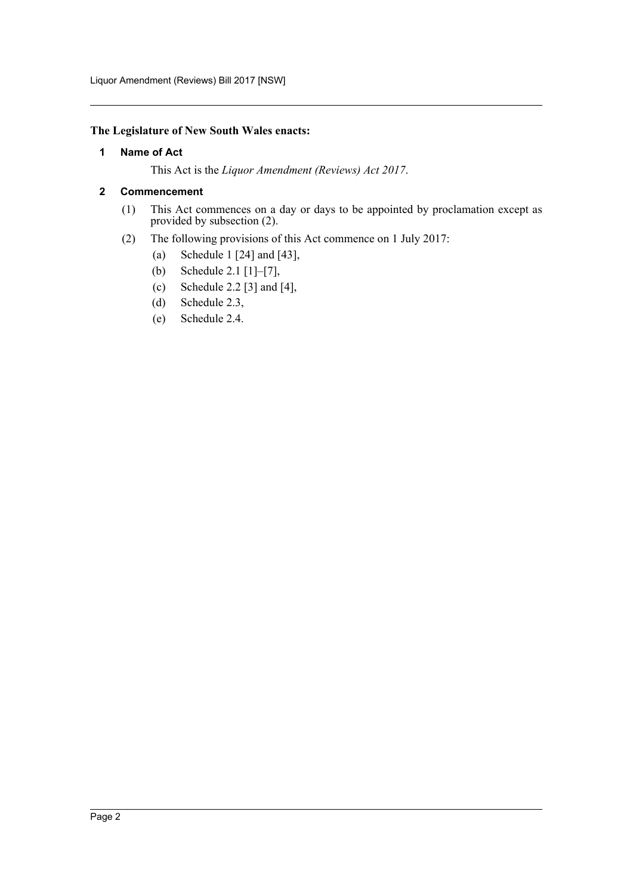#### <span id="page-2-0"></span>**The Legislature of New South Wales enacts:**

#### **1 Name of Act**

This Act is the *Liquor Amendment (Reviews) Act 2017*.

#### <span id="page-2-1"></span>**2 Commencement**

- (1) This Act commences on a day or days to be appointed by proclamation except as provided by subsection (2).
- (2) The following provisions of this Act commence on 1 July 2017:
	- (a) Schedule 1 [24] and [43],
	- (b) Schedule 2.1 [1]–[7],
	- (c) Schedule 2.2 [3] and [4],
	- (d) Schedule 2.3,
	- (e) Schedule 2.4.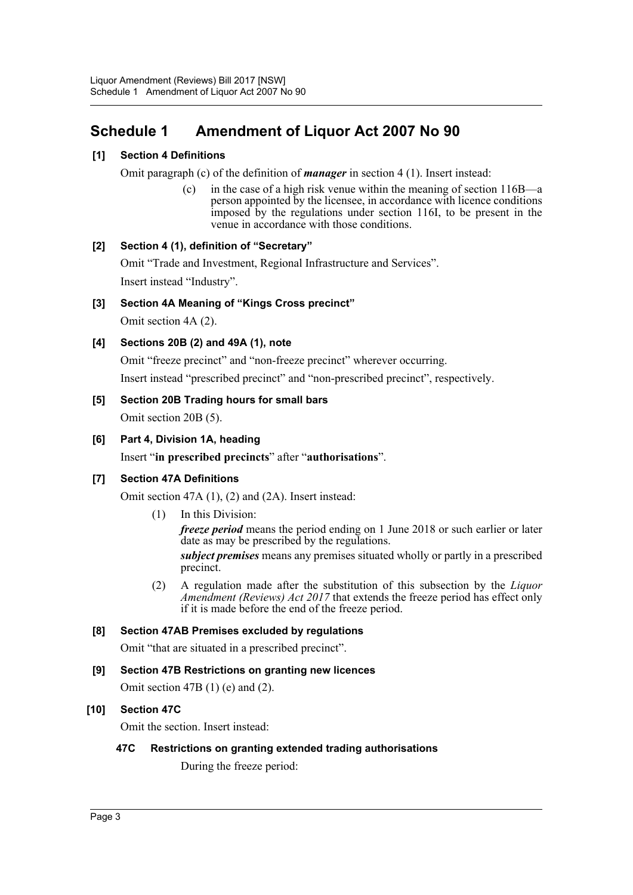## <span id="page-3-0"></span>**Schedule 1 Amendment of Liquor Act 2007 No 90**

## **[1] Section 4 Definitions**

Omit paragraph (c) of the definition of *manager* in section 4 (1). Insert instead:

(c) in the case of a high risk venue within the meaning of section 116B—a person appointed by the licensee, in accordance with licence conditions imposed by the regulations under section 116I, to be present in the venue in accordance with those conditions.

## **[2] Section 4 (1), definition of "Secretary"**

Omit "Trade and Investment, Regional Infrastructure and Services". Insert instead "Industry".

## **[3] Section 4A Meaning of "Kings Cross precinct"**

Omit section 4A (2).

## **[4] Sections 20B (2) and 49A (1), note**

Omit "freeze precinct" and "non-freeze precinct" wherever occurring. Insert instead "prescribed precinct" and "non-prescribed precinct", respectively.

## **[5] Section 20B Trading hours for small bars**

Omit section 20B (5).

## **[6] Part 4, Division 1A, heading**

Insert "**in prescribed precincts**" after "**authorisations**".

## **[7] Section 47A Definitions**

Omit section 47A (1), (2) and (2A). Insert instead:

(1) In this Division:

*freeze period* means the period ending on 1 June 2018 or such earlier or later date as may be prescribed by the regulations.

*subject premises* means any premises situated wholly or partly in a prescribed precinct.

(2) A regulation made after the substitution of this subsection by the *Liquor Amendment (Reviews) Act 2017* that extends the freeze period has effect only if it is made before the end of the freeze period.

## **[8] Section 47AB Premises excluded by regulations**

Omit "that are situated in a prescribed precinct".

## **[9] Section 47B Restrictions on granting new licences**

Omit section 47B  $(1)$  (e) and  $(2)$ .

## **[10] Section 47C**

Omit the section. Insert instead:

# **47C Restrictions on granting extended trading authorisations**

During the freeze period: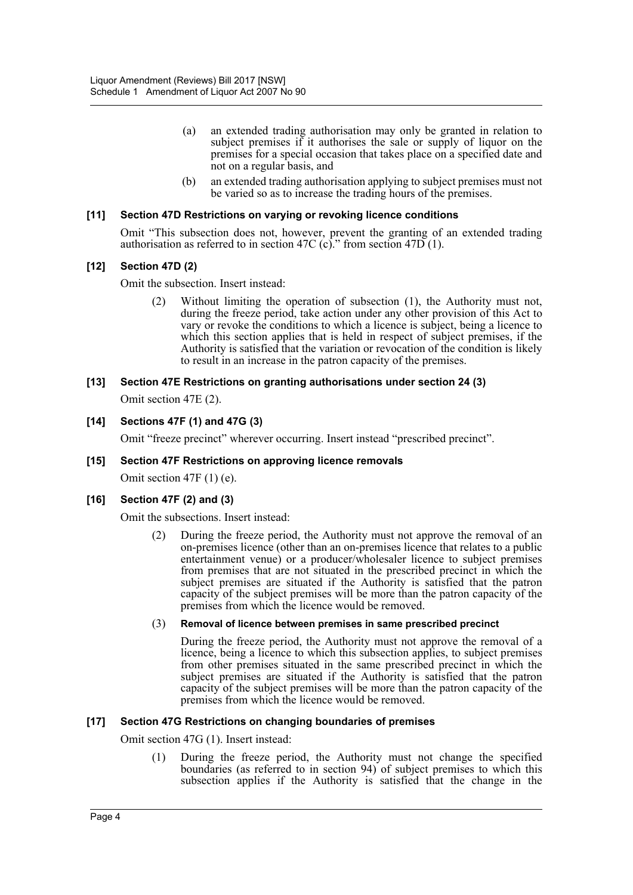- (a) an extended trading authorisation may only be granted in relation to subject premises if it authorises the sale or supply of liquor on the premises for a special occasion that takes place on a specified date and not on a regular basis, and
- (b) an extended trading authorisation applying to subject premises must not be varied so as to increase the trading hours of the premises.

#### **[11] Section 47D Restrictions on varying or revoking licence conditions**

Omit "This subsection does not, however, prevent the granting of an extended trading authorisation as referred to in section 47C (c)." from section 47D (1).

#### **[12] Section 47D (2)**

Omit the subsection. Insert instead:

(2) Without limiting the operation of subsection (1), the Authority must not, during the freeze period, take action under any other provision of this Act to vary or revoke the conditions to which a licence is subject, being a licence to which this section applies that is held in respect of subject premises, if the Authority is satisfied that the variation or revocation of the condition is likely to result in an increase in the patron capacity of the premises.

#### **[13] Section 47E Restrictions on granting authorisations under section 24 (3)**

Omit section 47E (2).

#### **[14] Sections 47F (1) and 47G (3)**

Omit "freeze precinct" wherever occurring. Insert instead "prescribed precinct".

#### **[15] Section 47F Restrictions on approving licence removals**

Omit section 47F (1) (e).

#### **[16] Section 47F (2) and (3)**

Omit the subsections. Insert instead:

(2) During the freeze period, the Authority must not approve the removal of an on-premises licence (other than an on-premises licence that relates to a public entertainment venue) or a producer/wholesaler licence to subject premises from premises that are not situated in the prescribed precinct in which the subject premises are situated if the Authority is satisfied that the patron capacity of the subject premises will be more than the patron capacity of the premises from which the licence would be removed.

#### (3) **Removal of licence between premises in same prescribed precinct**

During the freeze period, the Authority must not approve the removal of a licence, being a licence to which this subsection applies, to subject premises from other premises situated in the same prescribed precinct in which the subject premises are situated if the Authority is satisfied that the patron capacity of the subject premises will be more than the patron capacity of the premises from which the licence would be removed.

#### **[17] Section 47G Restrictions on changing boundaries of premises**

Omit section 47G (1). Insert instead:

(1) During the freeze period, the Authority must not change the specified boundaries (as referred to in section 94) of subject premises to which this subsection applies if the Authority is satisfied that the change in the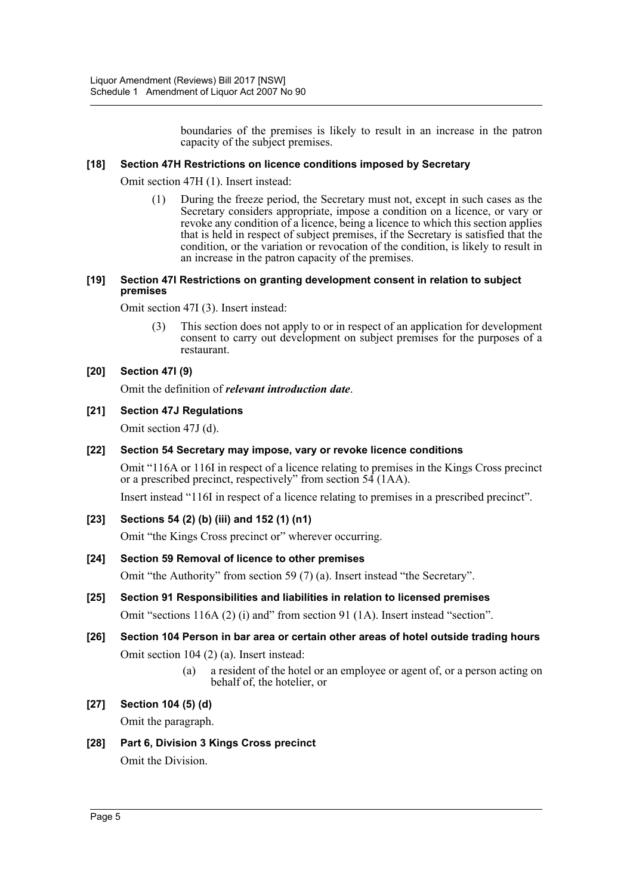boundaries of the premises is likely to result in an increase in the patron capacity of the subject premises.

#### **[18] Section 47H Restrictions on licence conditions imposed by Secretary**

Omit section 47H (1). Insert instead:

(1) During the freeze period, the Secretary must not, except in such cases as the Secretary considers appropriate, impose a condition on a licence, or vary or revoke any condition of a licence, being a licence to which this section applies that is held in respect of subject premises, if the Secretary is satisfied that the condition, or the variation or revocation of the condition, is likely to result in an increase in the patron capacity of the premises.

#### **[19] Section 47I Restrictions on granting development consent in relation to subject premises**

Omit section 47I (3). Insert instead:

(3) This section does not apply to or in respect of an application for development consent to carry out development on subject premises for the purposes of a restaurant.

## **[20] Section 47I (9)**

Omit the definition of *relevant introduction date*.

## **[21] Section 47J Regulations**

Omit section 47J (d).

#### **[22] Section 54 Secretary may impose, vary or revoke licence conditions**

Omit "116A or 116I in respect of a licence relating to premises in the Kings Cross precinct or a prescribed precinct, respectively" from section 54 (1AA).

Insert instead "116I in respect of a licence relating to premises in a prescribed precinct".

## **[23] Sections 54 (2) (b) (iii) and 152 (1) (n1)**

Omit "the Kings Cross precinct or" wherever occurring.

## **[24] Section 59 Removal of licence to other premises**

Omit "the Authority" from section 59 (7) (a). Insert instead "the Secretary".

# **[25] Section 91 Responsibilities and liabilities in relation to licensed premises**

Omit "sections 116A (2) (i) and" from section 91 (1A). Insert instead "section".

## **[26] Section 104 Person in bar area or certain other areas of hotel outside trading hours** Omit section 104 (2) (a). Insert instead:

(a) a resident of the hotel or an employee or agent of, or a person acting on behalf of, the hotelier, or

## **[27] Section 104 (5) (d)**

Omit the paragraph.

## **[28] Part 6, Division 3 Kings Cross precinct**

Omit the Division.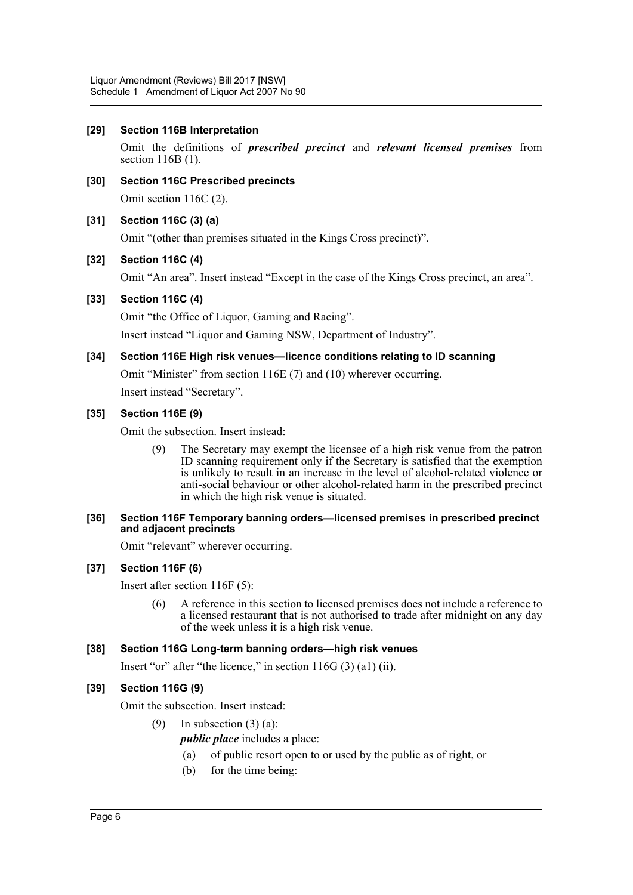#### **[29] Section 116B Interpretation**

Omit the definitions of *prescribed precinct* and *relevant licensed premises* from section 116B (1).

**[30] Section 116C Prescribed precincts** Omit section 116C (2).

## **[31] Section 116C (3) (a)**

Omit "(other than premises situated in the Kings Cross precinct)".

## **[32] Section 116C (4)**

Omit "An area". Insert instead "Except in the case of the Kings Cross precinct, an area".

#### **[33] Section 116C (4)**

Omit "the Office of Liquor, Gaming and Racing".

Insert instead "Liquor and Gaming NSW, Department of Industry".

**[34] Section 116E High risk venues—licence conditions relating to ID scanning**

Omit "Minister" from section 116E (7) and (10) wherever occurring.

Insert instead "Secretary".

## **[35] Section 116E (9)**

Omit the subsection. Insert instead:

(9) The Secretary may exempt the licensee of a high risk venue from the patron ID scanning requirement only if the Secretary is satisfied that the exemption is unlikely to result in an increase in the level of alcohol-related violence or anti-social behaviour or other alcohol-related harm in the prescribed precinct in which the high risk venue is situated.

#### **[36] Section 116F Temporary banning orders—licensed premises in prescribed precinct and adjacent precincts**

Omit "relevant" wherever occurring.

## **[37] Section 116F (6)**

Insert after section 116F (5):

(6) A reference in this section to licensed premises does not include a reference to a licensed restaurant that is not authorised to trade after midnight on any day of the week unless it is a high risk venue.

## **[38] Section 116G Long-term banning orders—high risk venues**

Insert "or" after "the licence," in section 116G (3) (a1) (ii).

## **[39] Section 116G (9)**

Omit the subsection. Insert instead:

- (9) In subsection  $(3)$  (a):
	- *public place* includes a place:
	- (a) of public resort open to or used by the public as of right, or
	- (b) for the time being: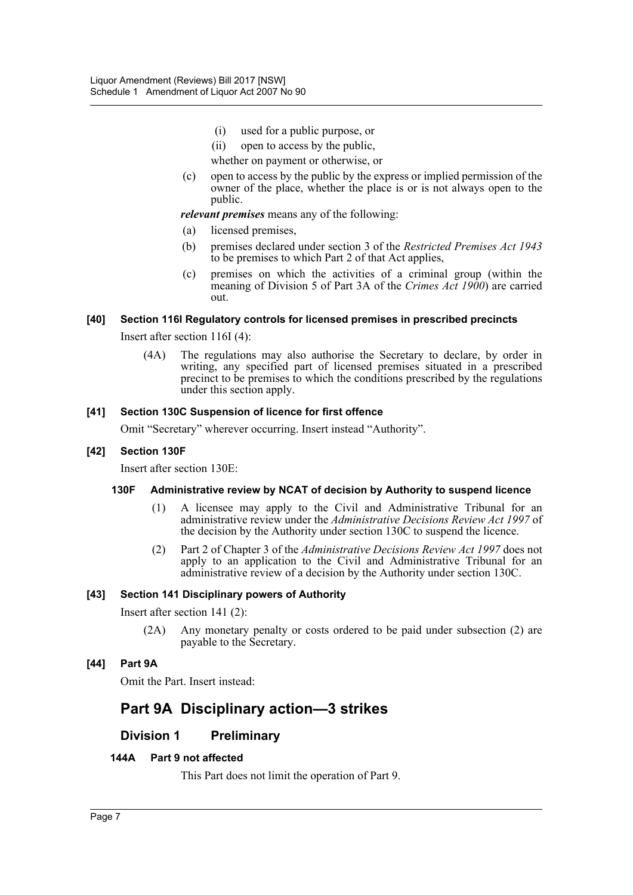- (i) used for a public purpose, or
- (ii) open to access by the public,

whether on payment or otherwise, or

(c) open to access by the public by the express or implied permission of the owner of the place, whether the place is or is not always open to the public.

*relevant premises* means any of the following:

- (a) licensed premises,
- (b) premises declared under section 3 of the *Restricted Premises Act 1943* to be premises to which Part 2 of that Act applies,
- (c) premises on which the activities of a criminal group (within the meaning of Division 5 of Part 3A of the *Crimes Act 1900*) are carried out.

#### **[40] Section 116I Regulatory controls for licensed premises in prescribed precincts**

Insert after section 116I (4):

(4A) The regulations may also authorise the Secretary to declare, by order in writing, any specified part of licensed premises situated in a prescribed precinct to be premises to which the conditions prescribed by the regulations under this section apply.

#### **[41] Section 130C Suspension of licence for first offence**

Omit "Secretary" wherever occurring. Insert instead "Authority".

#### **[42] Section 130F**

Insert after section 130E:

#### **130F Administrative review by NCAT of decision by Authority to suspend licence**

- (1) A licensee may apply to the Civil and Administrative Tribunal for an administrative review under the *Administrative Decisions Review Act 1997* of the decision by the Authority under section 130C to suspend the licence.
- (2) Part 2 of Chapter 3 of the *Administrative Decisions Review Act 1997* does not apply to an application to the Civil and Administrative Tribunal for an administrative review of a decision by the Authority under section 130C.

#### **[43] Section 141 Disciplinary powers of Authority**

Insert after section 141 (2):

(2A) Any monetary penalty or costs ordered to be paid under subsection (2) are payable to the Secretary.

#### **[44] Part 9A**

Omit the Part. Insert instead:

## **Part 9A Disciplinary action—3 strikes**

## **Division 1 Preliminary**

#### **144A Part 9 not affected**

This Part does not limit the operation of Part 9.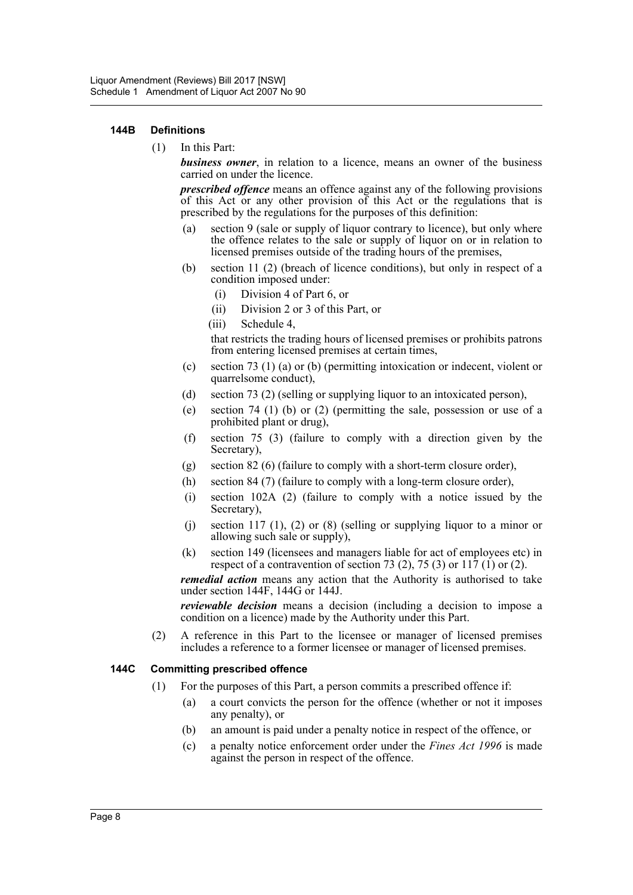#### **144B Definitions**

(1) In this Part:

*business owner*, in relation to a licence, means an owner of the business carried on under the licence.

*prescribed offence* means an offence against any of the following provisions of this Act or any other provision of this Act or the regulations that is prescribed by the regulations for the purposes of this definition:

- (a) section 9 (sale or supply of liquor contrary to licence), but only where the offence relates to the sale or supply of liquor on or in relation to licensed premises outside of the trading hours of the premises,
- (b) section 11 (2) (breach of licence conditions), but only in respect of a condition imposed under:
	- (i) Division 4 of Part 6, or
	- (ii) Division 2 or 3 of this Part, or
	- (iii) Schedule 4,

that restricts the trading hours of licensed premises or prohibits patrons from entering licensed premises at certain times,

- (c) section 73 (1) (a) or (b) (permitting intoxication or indecent, violent or quarrelsome conduct),
- (d) section 73 (2) (selling or supplying liquor to an intoxicated person),
- (e) section 74 (1) (b) or (2) (permitting the sale, possession or use of a prohibited plant or drug),
- (f) section 75 (3) (failure to comply with a direction given by the Secretary),
- (g) section 82 (6) (failure to comply with a short-term closure order),
- (h) section 84 (7) (failure to comply with a long-term closure order),
- (i) section 102A (2) (failure to comply with a notice issued by the Secretary).
- (i) section 117 (1), (2) or (8) (selling or supplying liquor to a minor or allowing such sale or supply),
- (k) section 149 (licensees and managers liable for act of employees etc) in respect of a contravention of section 73 (2), 75 (3) or  $117$  (1) or (2).

*remedial action* means any action that the Authority is authorised to take under section 144F, 144G or 144J.

*reviewable decision* means a decision (including a decision to impose a condition on a licence) made by the Authority under this Part.

(2) A reference in this Part to the licensee or manager of licensed premises includes a reference to a former licensee or manager of licensed premises.

#### **144C Committing prescribed offence**

- (1) For the purposes of this Part, a person commits a prescribed offence if:
	- (a) a court convicts the person for the offence (whether or not it imposes any penalty), or
	- (b) an amount is paid under a penalty notice in respect of the offence, or
	- (c) a penalty notice enforcement order under the *Fines Act 1996* is made against the person in respect of the offence.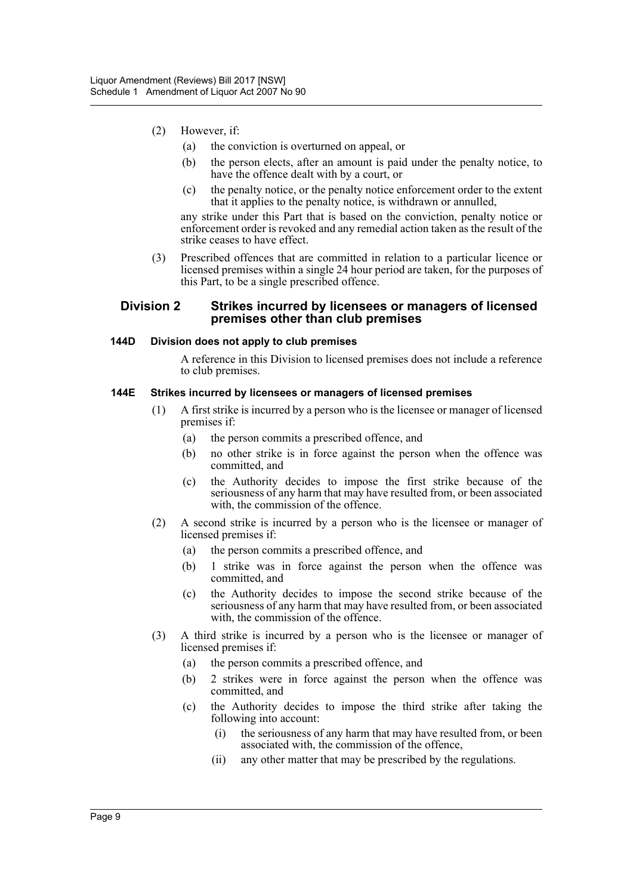- (2) However, if:
	- (a) the conviction is overturned on appeal, or
	- (b) the person elects, after an amount is paid under the penalty notice, to have the offence dealt with by a court, or
	- (c) the penalty notice, or the penalty notice enforcement order to the extent that it applies to the penalty notice, is withdrawn or annulled,

any strike under this Part that is based on the conviction, penalty notice or enforcement order is revoked and any remedial action taken as the result of the strike ceases to have effect.

(3) Prescribed offences that are committed in relation to a particular licence or licensed premises within a single 24 hour period are taken, for the purposes of this Part, to be a single prescribed offence.

#### **Division 2 Strikes incurred by licensees or managers of licensed premises other than club premises**

#### **144D Division does not apply to club premises**

A reference in this Division to licensed premises does not include a reference to club premises.

#### **144E Strikes incurred by licensees or managers of licensed premises**

- (1) A first strike is incurred by a person who is the licensee or manager of licensed premises if:
	- (a) the person commits a prescribed offence, and
	- (b) no other strike is in force against the person when the offence was committed, and
	- (c) the Authority decides to impose the first strike because of the seriousness of any harm that may have resulted from, or been associated with, the commission of the offence.
- (2) A second strike is incurred by a person who is the licensee or manager of licensed premises if:
	- (a) the person commits a prescribed offence, and
	- (b) 1 strike was in force against the person when the offence was committed, and
	- (c) the Authority decides to impose the second strike because of the seriousness of any harm that may have resulted from, or been associated with, the commission of the offence.
- (3) A third strike is incurred by a person who is the licensee or manager of licensed premises if:
	- (a) the person commits a prescribed offence, and
	- (b) 2 strikes were in force against the person when the offence was committed, and
	- (c) the Authority decides to impose the third strike after taking the following into account:
		- (i) the seriousness of any harm that may have resulted from, or been associated with, the commission of the offence,
		- (ii) any other matter that may be prescribed by the regulations.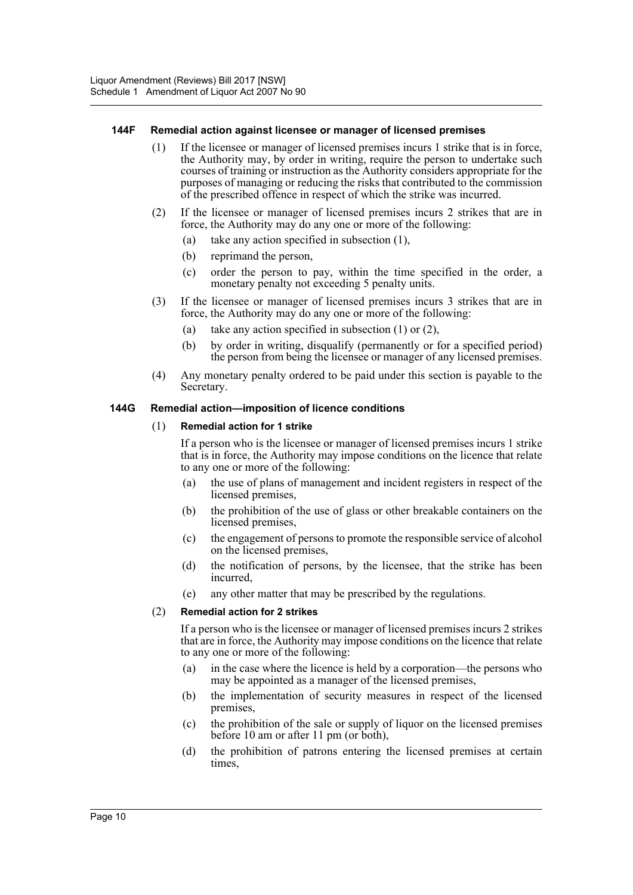#### **144F Remedial action against licensee or manager of licensed premises**

- (1) If the licensee or manager of licensed premises incurs 1 strike that is in force, the Authority may, by order in writing, require the person to undertake such courses of training or instruction as the Authority considers appropriate for the purposes of managing or reducing the risks that contributed to the commission of the prescribed offence in respect of which the strike was incurred.
- (2) If the licensee or manager of licensed premises incurs 2 strikes that are in force, the Authority may do any one or more of the following:
	- (a) take any action specified in subsection (1),
	- (b) reprimand the person,
	- (c) order the person to pay, within the time specified in the order, a monetary penalty not exceeding 5 penalty units.
- (3) If the licensee or manager of licensed premises incurs 3 strikes that are in force, the Authority may do any one or more of the following:
	- (a) take any action specified in subsection (1) or (2),
	- (b) by order in writing, disqualify (permanently or for a specified period) the person from being the licensee or manager of any licensed premises.
- (4) Any monetary penalty ordered to be paid under this section is payable to the Secretary.

#### **144G Remedial action—imposition of licence conditions**

#### (1) **Remedial action for 1 strike**

If a person who is the licensee or manager of licensed premises incurs 1 strike that is in force, the Authority may impose conditions on the licence that relate to any one or more of the following:

- (a) the use of plans of management and incident registers in respect of the licensed premises,
- (b) the prohibition of the use of glass or other breakable containers on the licensed premises.
- (c) the engagement of persons to promote the responsible service of alcohol on the licensed premises,
- (d) the notification of persons, by the licensee, that the strike has been incurred,
- (e) any other matter that may be prescribed by the regulations.

## (2) **Remedial action for 2 strikes**

If a person who is the licensee or manager of licensed premises incurs 2 strikes that are in force, the Authority may impose conditions on the licence that relate to any one or more of the following:

- (a) in the case where the licence is held by a corporation—the persons who may be appointed as a manager of the licensed premises,
- (b) the implementation of security measures in respect of the licensed premises,
- (c) the prohibition of the sale or supply of liquor on the licensed premises before 10 am or after 11 pm (or both),
- (d) the prohibition of patrons entering the licensed premises at certain times,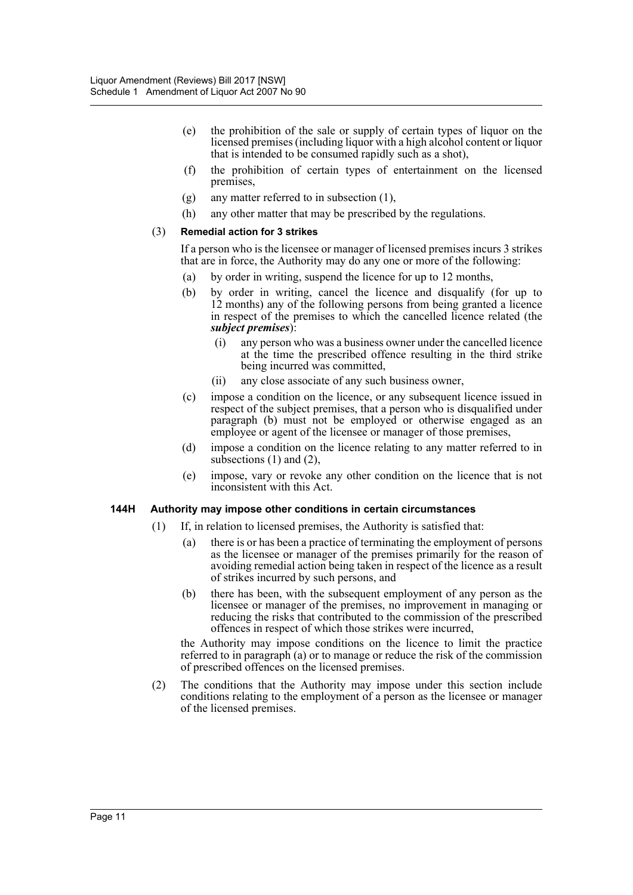- (e) the prohibition of the sale or supply of certain types of liquor on the licensed premises (including liquor with a high alcohol content or liquor that is intended to be consumed rapidly such as a shot),
- (f) the prohibition of certain types of entertainment on the licensed premises,
- (g) any matter referred to in subsection (1),
- (h) any other matter that may be prescribed by the regulations.

#### (3) **Remedial action for 3 strikes**

If a person who is the licensee or manager of licensed premises incurs 3 strikes that are in force, the Authority may do any one or more of the following:

- (a) by order in writing, suspend the licence for up to 12 months,
- (b) by order in writing, cancel the licence and disqualify (for up to 12 months) any of the following persons from being granted a licence in respect of the premises to which the cancelled licence related (the *subject premises*):
	- (i) any person who was a business owner under the cancelled licence at the time the prescribed offence resulting in the third strike being incurred was committed,
	- (ii) any close associate of any such business owner,
- (c) impose a condition on the licence, or any subsequent licence issued in respect of the subject premises, that a person who is disqualified under paragraph (b) must not be employed or otherwise engaged as an employee or agent of the licensee or manager of those premises,
- (d) impose a condition on the licence relating to any matter referred to in subsections  $(1)$  and  $(2)$ ,
- (e) impose, vary or revoke any other condition on the licence that is not inconsistent with this Act.

#### **144H Authority may impose other conditions in certain circumstances**

- (1) If, in relation to licensed premises, the Authority is satisfied that:
	- (a) there is or has been a practice of terminating the employment of persons as the licensee or manager of the premises primarily for the reason of avoiding remedial action being taken in respect of the licence as a result of strikes incurred by such persons, and
	- (b) there has been, with the subsequent employment of any person as the licensee or manager of the premises, no improvement in managing or reducing the risks that contributed to the commission of the prescribed offences in respect of which those strikes were incurred,

the Authority may impose conditions on the licence to limit the practice referred to in paragraph (a) or to manage or reduce the risk of the commission of prescribed offences on the licensed premises.

(2) The conditions that the Authority may impose under this section include conditions relating to the employment of a person as the licensee or manager of the licensed premises.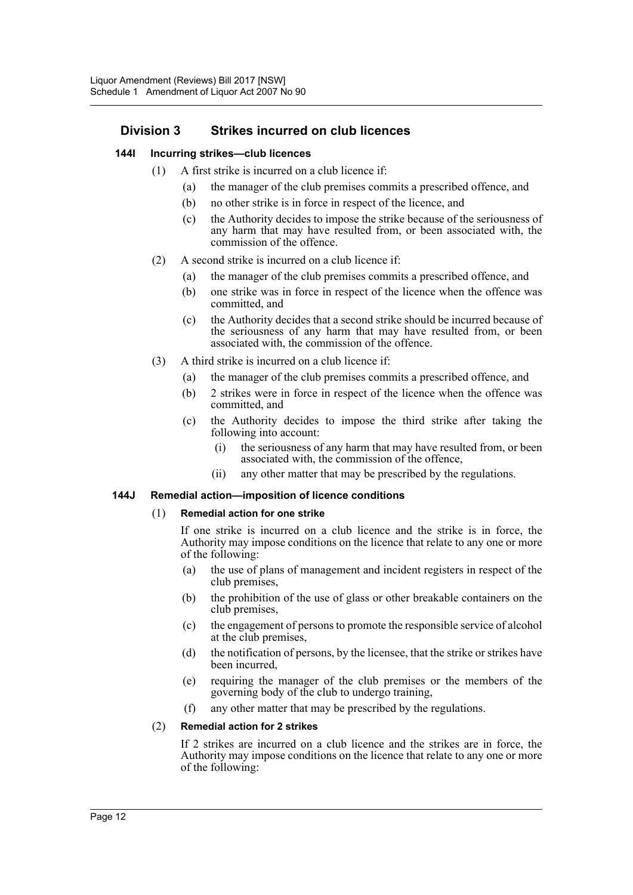## **Division 3 Strikes incurred on club licences**

#### **144I Incurring strikes—club licences**

- (1) A first strike is incurred on a club licence if:
	- (a) the manager of the club premises commits a prescribed offence, and
	- (b) no other strike is in force in respect of the licence, and
	- (c) the Authority decides to impose the strike because of the seriousness of any harm that may have resulted from, or been associated with, the commission of the offence.
- (2) A second strike is incurred on a club licence if:
	- (a) the manager of the club premises commits a prescribed offence, and
	- (b) one strike was in force in respect of the licence when the offence was committed, and
	- (c) the Authority decides that a second strike should be incurred because of the seriousness of any harm that may have resulted from, or been associated with, the commission of the offence.
- (3) A third strike is incurred on a club licence if:
	- (a) the manager of the club premises commits a prescribed offence, and
	- (b) 2 strikes were in force in respect of the licence when the offence was committed, and
	- (c) the Authority decides to impose the third strike after taking the following into account:
		- (i) the seriousness of any harm that may have resulted from, or been associated with, the commission of the offence,
		- (ii) any other matter that may be prescribed by the regulations.

#### **144J Remedial action—imposition of licence conditions**

#### (1) **Remedial action for one strike**

If one strike is incurred on a club licence and the strike is in force, the Authority may impose conditions on the licence that relate to any one or more of the following:

- (a) the use of plans of management and incident registers in respect of the club premises,
- (b) the prohibition of the use of glass or other breakable containers on the club premises,
- (c) the engagement of persons to promote the responsible service of alcohol at the club premises,
- (d) the notification of persons, by the licensee, that the strike or strikes have been incurred,
- (e) requiring the manager of the club premises or the members of the governing body of the club to undergo training,
- (f) any other matter that may be prescribed by the regulations.

## (2) **Remedial action for 2 strikes**

If 2 strikes are incurred on a club licence and the strikes are in force, the Authority may impose conditions on the licence that relate to any one or more of the following: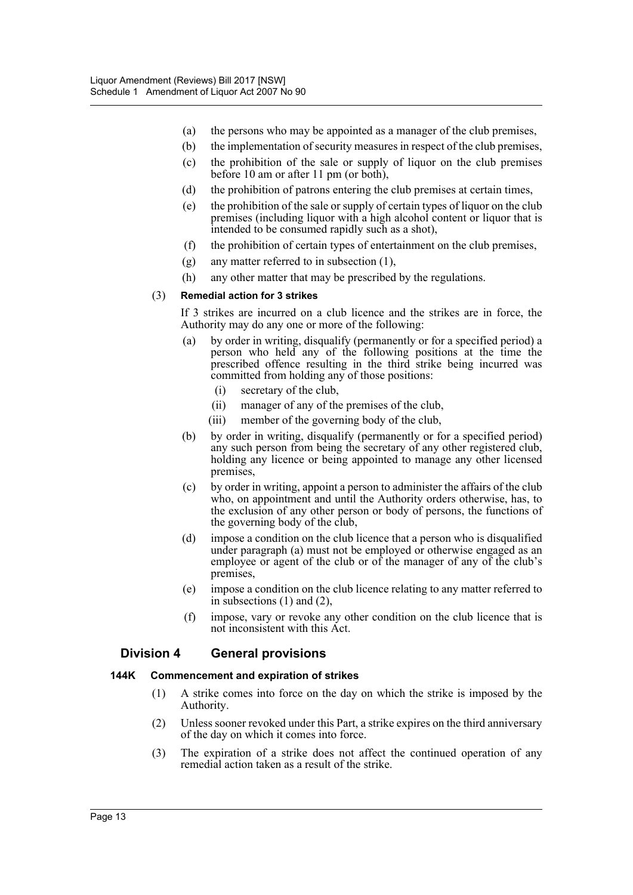- (a) the persons who may be appointed as a manager of the club premises,
- (b) the implementation of security measures in respect of the club premises,
- (c) the prohibition of the sale or supply of liquor on the club premises before 10 am or after 11 pm (or both),
- (d) the prohibition of patrons entering the club premises at certain times,
- (e) the prohibition of the sale or supply of certain types of liquor on the club premises (including liquor with a high alcohol content or liquor that is intended to be consumed rapidly such as a shot),
- (f) the prohibition of certain types of entertainment on the club premises,
- (g) any matter referred to in subsection (1),
- (h) any other matter that may be prescribed by the regulations.

#### (3) **Remedial action for 3 strikes**

If 3 strikes are incurred on a club licence and the strikes are in force, the Authority may do any one or more of the following:

- (a) by order in writing, disqualify (permanently or for a specified period) a person who held any of the following positions at the time the prescribed offence resulting in the third strike being incurred was committed from holding any of those positions:
	- (i) secretary of the club,
	- (ii) manager of any of the premises of the club,
	- (iii) member of the governing body of the club,
- (b) by order in writing, disqualify (permanently or for a specified period) any such person from being the secretary of any other registered club, holding any licence or being appointed to manage any other licensed premises,
- (c) by order in writing, appoint a person to administer the affairs of the club who, on appointment and until the Authority orders otherwise, has, to the exclusion of any other person or body of persons, the functions of the governing body of the club,
- (d) impose a condition on the club licence that a person who is disqualified under paragraph (a) must not be employed or otherwise engaged as an employee or agent of the club or of the manager of any of the club's premises,
- (e) impose a condition on the club licence relating to any matter referred to in subsections (1) and (2),
- (f) impose, vary or revoke any other condition on the club licence that is not inconsistent with this Act.

## **Division 4 General provisions**

#### **144K Commencement and expiration of strikes**

- (1) A strike comes into force on the day on which the strike is imposed by the Authority.
- (2) Unless sooner revoked under this Part, a strike expires on the third anniversary of the day on which it comes into force.
- (3) The expiration of a strike does not affect the continued operation of any remedial action taken as a result of the strike.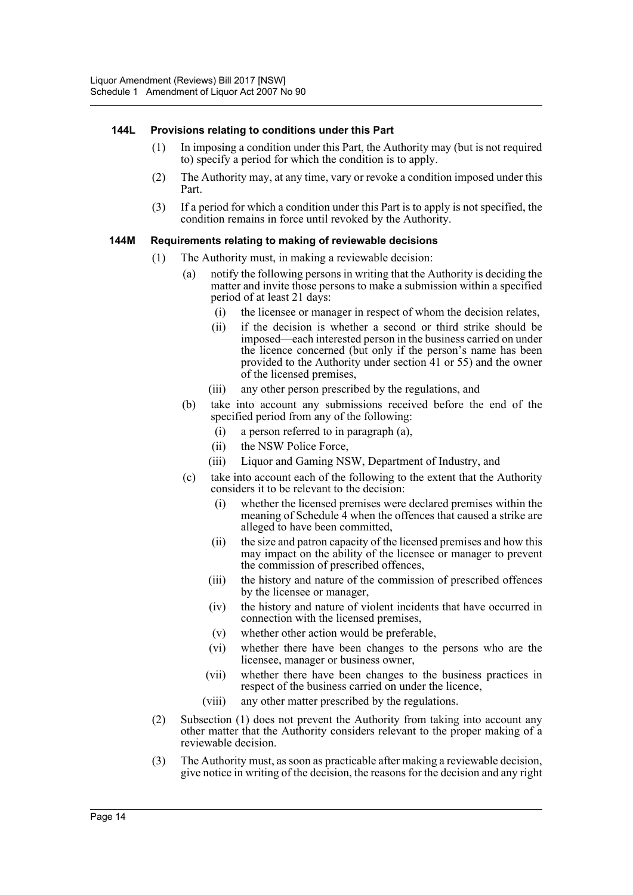#### **144L Provisions relating to conditions under this Part**

- (1) In imposing a condition under this Part, the Authority may (but is not required to) specify a period for which the condition is to apply.
- (2) The Authority may, at any time, vary or revoke a condition imposed under this Part.
- (3) If a period for which a condition under this Part is to apply is not specified, the condition remains in force until revoked by the Authority.

#### **144M Requirements relating to making of reviewable decisions**

- (1) The Authority must, in making a reviewable decision:
	- (a) notify the following persons in writing that the Authority is deciding the matter and invite those persons to make a submission within a specified period of at least 21 days:
		- (i) the licensee or manager in respect of whom the decision relates,
		- (ii) if the decision is whether a second or third strike should be imposed—each interested person in the business carried on under the licence concerned (but only if the person's name has been provided to the Authority under section 41 or 55) and the owner of the licensed premises,
		- (iii) any other person prescribed by the regulations, and
	- (b) take into account any submissions received before the end of the specified period from any of the following:
		- (i) a person referred to in paragraph (a),
		- (ii) the NSW Police Force,
		- (iii) Liquor and Gaming NSW, Department of Industry, and
	- (c) take into account each of the following to the extent that the Authority considers it to be relevant to the decision:
		- (i) whether the licensed premises were declared premises within the meaning of Schedule 4 when the offences that caused a strike are alleged to have been committed,
		- (ii) the size and patron capacity of the licensed premises and how this may impact on the ability of the licensee or manager to prevent the commission of prescribed offences,
		- (iii) the history and nature of the commission of prescribed offences by the licensee or manager,
		- (iv) the history and nature of violent incidents that have occurred in connection with the licensed premises,
		- (v) whether other action would be preferable,
		- (vi) whether there have been changes to the persons who are the licensee, manager or business owner,
		- (vii) whether there have been changes to the business practices in respect of the business carried on under the licence,
		- (viii) any other matter prescribed by the regulations.
- (2) Subsection (1) does not prevent the Authority from taking into account any other matter that the Authority considers relevant to the proper making of a reviewable decision.
- (3) The Authority must, as soon as practicable after making a reviewable decision, give notice in writing of the decision, the reasons for the decision and any right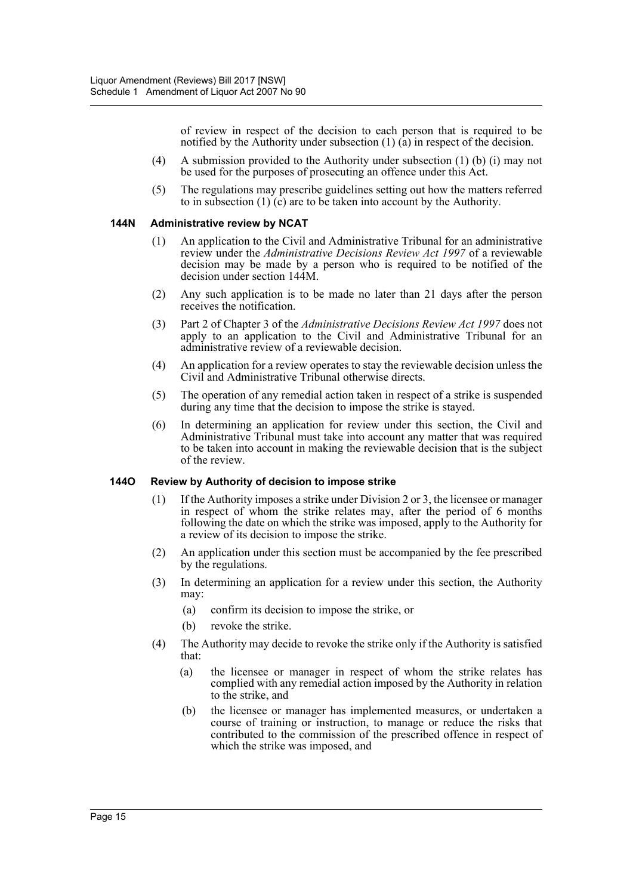of review in respect of the decision to each person that is required to be notified by the Authority under subsection (1) (a) in respect of the decision.

- (4) A submission provided to the Authority under subsection (1) (b) (i) may not be used for the purposes of prosecuting an offence under this Act.
- (5) The regulations may prescribe guidelines setting out how the matters referred to in subsection  $(1)$   $(c)$  are to be taken into account by the Authority.

#### **144N Administrative review by NCAT**

- (1) An application to the Civil and Administrative Tribunal for an administrative review under the *Administrative Decisions Review Act 1997* of a reviewable decision may be made by a person who is required to be notified of the decision under section 144M.
- (2) Any such application is to be made no later than 21 days after the person receives the notification.
- (3) Part 2 of Chapter 3 of the *Administrative Decisions Review Act 1997* does not apply to an application to the Civil and Administrative Tribunal for an administrative review of a reviewable decision.
- (4) An application for a review operates to stay the reviewable decision unless the Civil and Administrative Tribunal otherwise directs.
- (5) The operation of any remedial action taken in respect of a strike is suspended during any time that the decision to impose the strike is stayed.
- (6) In determining an application for review under this section, the Civil and Administrative Tribunal must take into account any matter that was required to be taken into account in making the reviewable decision that is the subject of the review.

#### **144O Review by Authority of decision to impose strike**

- (1) If the Authority imposes a strike under Division 2 or 3, the licensee or manager in respect of whom the strike relates may, after the period of 6 months following the date on which the strike was imposed, apply to the Authority for a review of its decision to impose the strike.
- (2) An application under this section must be accompanied by the fee prescribed by the regulations.
- (3) In determining an application for a review under this section, the Authority may:
	- (a) confirm its decision to impose the strike, or
	- (b) revoke the strike.
- (4) The Authority may decide to revoke the strike only if the Authority is satisfied that:
	- (a) the licensee or manager in respect of whom the strike relates has complied with any remedial action imposed by the Authority in relation to the strike, and
	- (b) the licensee or manager has implemented measures, or undertaken a course of training or instruction, to manage or reduce the risks that contributed to the commission of the prescribed offence in respect of which the strike was imposed, and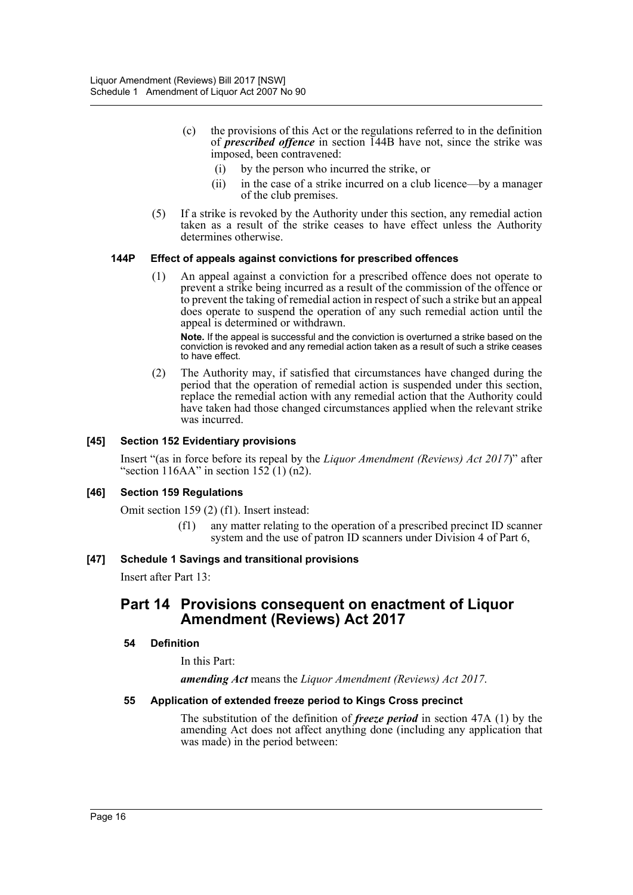- (c) the provisions of this Act or the regulations referred to in the definition of *prescribed offence* in section 144B have not, since the strike was imposed, been contravened:
	- (i) by the person who incurred the strike, or
	- (ii) in the case of a strike incurred on a club licence—by a manager of the club premises.
- (5) If a strike is revoked by the Authority under this section, any remedial action taken as a result of the strike ceases to have effect unless the Authority determines otherwise.

#### **144P Effect of appeals against convictions for prescribed offences**

(1) An appeal against a conviction for a prescribed offence does not operate to prevent a strike being incurred as a result of the commission of the offence or to prevent the taking of remedial action in respect of such a strike but an appeal does operate to suspend the operation of any such remedial action until the appeal is determined or withdrawn.

**Note.** If the appeal is successful and the conviction is overturned a strike based on the conviction is revoked and any remedial action taken as a result of such a strike ceases to have effect.

(2) The Authority may, if satisfied that circumstances have changed during the period that the operation of remedial action is suspended under this section, replace the remedial action with any remedial action that the Authority could have taken had those changed circumstances applied when the relevant strike was incurred.

## **[45] Section 152 Evidentiary provisions**

Insert "(as in force before its repeal by the *Liquor Amendment (Reviews) Act 2017*)" after "section 116AA" in section  $152(1)$  (n2).

#### **[46] Section 159 Regulations**

Omit section 159 (2) (f1). Insert instead:

(f1) any matter relating to the operation of a prescribed precinct ID scanner system and the use of patron ID scanners under Division 4 of Part 6,

#### **[47] Schedule 1 Savings and transitional provisions**

Insert after Part 13:

## **Part 14 Provisions consequent on enactment of Liquor Amendment (Reviews) Act 2017**

#### **54 Definition**

In this Part:

*amending Act* means the *Liquor Amendment (Reviews) Act 2017*.

#### **55 Application of extended freeze period to Kings Cross precinct**

The substitution of the definition of *freeze period* in section 47A (1) by the amending Act does not affect anything done (including any application that was made) in the period between: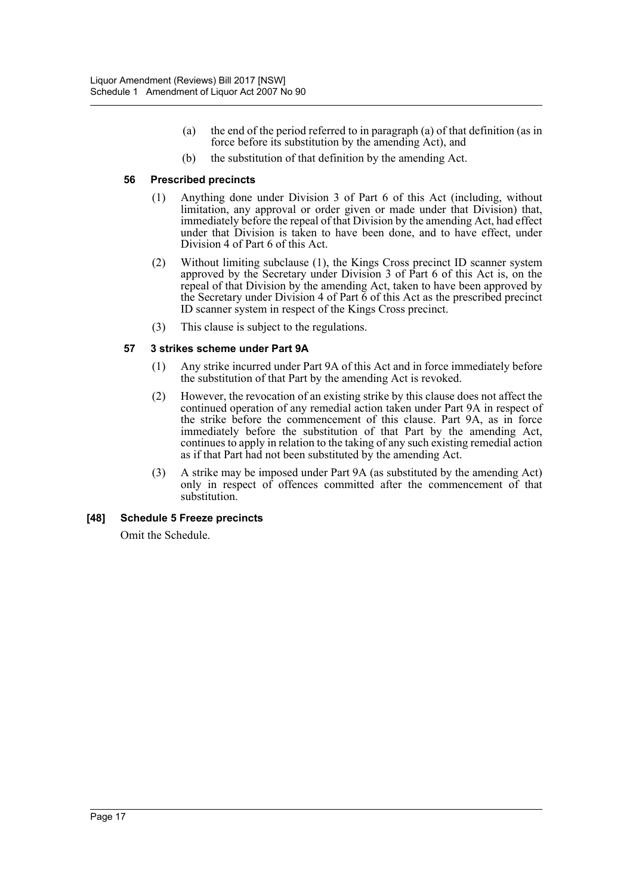- (a) the end of the period referred to in paragraph (a) of that definition (as in force before its substitution by the amending Act), and
- (b) the substitution of that definition by the amending Act.

#### **56 Prescribed precincts**

- (1) Anything done under Division 3 of Part 6 of this Act (including, without limitation, any approval or order given or made under that Division) that, immediately before the repeal of that Division by the amending Act, had effect under that Division is taken to have been done, and to have effect, under Division 4 of Part 6 of this Act.
- (2) Without limiting subclause (1), the Kings Cross precinct ID scanner system approved by the Secretary under Division 3 of Part 6 of this Act is, on the repeal of that Division by the amending Act, taken to have been approved by the Secretary under Division 4 of Part  $\vec{6}$  of this Act as the prescribed precinct ID scanner system in respect of the Kings Cross precinct.
- (3) This clause is subject to the regulations.

## **57 3 strikes scheme under Part 9A**

- (1) Any strike incurred under Part 9A of this Act and in force immediately before the substitution of that Part by the amending Act is revoked.
- (2) However, the revocation of an existing strike by this clause does not affect the continued operation of any remedial action taken under Part 9A in respect of the strike before the commencement of this clause. Part 9A, as in force immediately before the substitution of that Part by the amending Act, continues to apply in relation to the taking of any such existing remedial action as if that Part had not been substituted by the amending Act.
- (3) A strike may be imposed under Part 9A (as substituted by the amending Act) only in respect of offences committed after the commencement of that substitution<sup>1</sup>

## **[48] Schedule 5 Freeze precincts**

Omit the Schedule.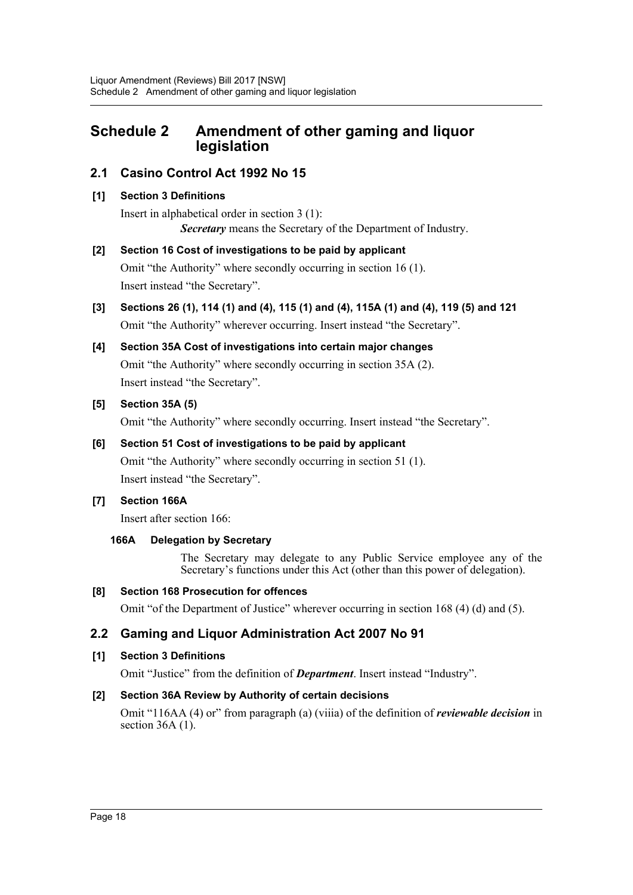## <span id="page-18-0"></span>**Schedule 2 Amendment of other gaming and liquor legislation**

## **2.1 Casino Control Act 1992 No 15**

## **[1] Section 3 Definitions**

Insert in alphabetical order in section 3 (1): *Secretary* means the Secretary of the Department of Industry.

## **[2] Section 16 Cost of investigations to be paid by applicant**

Omit "the Authority" where secondly occurring in section 16 (1). Insert instead "the Secretary".

**[3] Sections 26 (1), 114 (1) and (4), 115 (1) and (4), 115A (1) and (4), 119 (5) and 121** Omit "the Authority" wherever occurring. Insert instead "the Secretary".

# **[4] Section 35A Cost of investigations into certain major changes**

Omit "the Authority" where secondly occurring in section 35A (2). Insert instead "the Secretary".

## **[5] Section 35A (5)**

Omit "the Authority" where secondly occurring. Insert instead "the Secretary".

## **[6] Section 51 Cost of investigations to be paid by applicant**

Omit "the Authority" where secondly occurring in section 51 (1). Insert instead "the Secretary".

## **[7] Section 166A**

Insert after section 166:

## **166A Delegation by Secretary**

The Secretary may delegate to any Public Service employee any of the Secretary's functions under this Act (other than this power of delegation).

## **[8] Section 168 Prosecution for offences**

Omit "of the Department of Justice" wherever occurring in section 168 (4) (d) and (5).

## **2.2 Gaming and Liquor Administration Act 2007 No 91**

## **[1] Section 3 Definitions**

Omit "Justice" from the definition of *Department*. Insert instead "Industry".

## **[2] Section 36A Review by Authority of certain decisions**

Omit "116AA (4) or" from paragraph (a) (viiia) of the definition of *reviewable decision* in section  $36A(1)$ .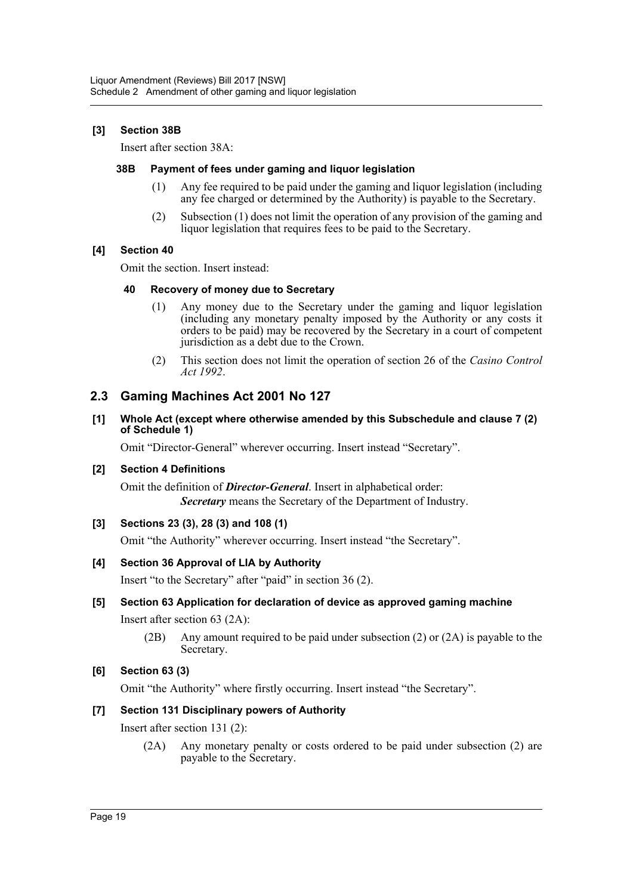## **[3] Section 38B**

Insert after section 38A:

#### **38B Payment of fees under gaming and liquor legislation**

- (1) Any fee required to be paid under the gaming and liquor legislation (including any fee charged or determined by the Authority) is payable to the Secretary.
- (2) Subsection (1) does not limit the operation of any provision of the gaming and liquor legislation that requires fees to be paid to the Secretary.

#### **[4] Section 40**

Omit the section. Insert instead:

#### **40 Recovery of money due to Secretary**

- (1) Any money due to the Secretary under the gaming and liquor legislation (including any monetary penalty imposed by the Authority or any costs it orders to be paid) may be recovered by the Secretary in a court of competent jurisdiction as a debt due to the Crown.
- (2) This section does not limit the operation of section 26 of the *Casino Control Act 1992*.

## **2.3 Gaming Machines Act 2001 No 127**

**[1] Whole Act (except where otherwise amended by this Subschedule and clause 7 (2) of Schedule 1)**

Omit "Director-General" wherever occurring. Insert instead "Secretary".

#### **[2] Section 4 Definitions**

Omit the definition of *Director-General*. Insert in alphabetical order: *Secretary* means the Secretary of the Department of Industry.

## **[3] Sections 23 (3), 28 (3) and 108 (1)**

Omit "the Authority" wherever occurring. Insert instead "the Secretary".

## **[4] Section 36 Approval of LIA by Authority**

Insert "to the Secretary" after "paid" in section 36 (2).

## **[5] Section 63 Application for declaration of device as approved gaming machine**

Insert after section 63 (2A):

(2B) Any amount required to be paid under subsection (2) or (2A) is payable to the Secretary.

## **[6] Section 63 (3)**

Omit "the Authority" where firstly occurring. Insert instead "the Secretary".

## **[7] Section 131 Disciplinary powers of Authority**

Insert after section 131 (2):

(2A) Any monetary penalty or costs ordered to be paid under subsection (2) are payable to the Secretary.